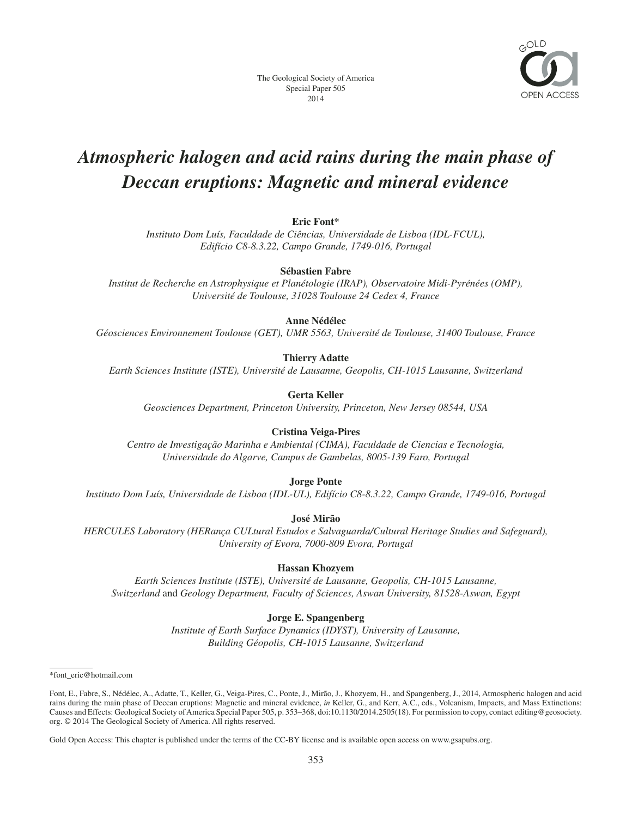

# *Atmospheric halogen and acid rains during the main phase of Deccan eruptions: Magnetic and mineral evidence*

**Eric Font\***

*Instituto Dom Luís, Faculdade de Ciências, Universidade de Lisboa (IDL-FCUL), Edifício C8-8.3.22, Campo Grande, 1749-016, Portugal*

**Sébastien Fabre**

*Institut de Recherche en Astrophysique et Planétologie (IRAP), Observatoire Midi-Pyrénées (OMP), Université de Toulouse, 31028 Toulouse 24 Cedex 4, France*

## **Anne Nédélec**

*Géosciences Environnement Toulouse (GET), UMR 5563, Université de Toulouse, 31400 Toulouse, France*

## **Thierry Adatte**

*Earth Sciences Institute (ISTE), Université de Lausanne, Geopolis, CH-1015 Lausanne, Switzerland*

**Gerta Keller**

*Geosciences Department, Princeton University, Princeton, New Jersey 08544, USA*

## **Cristina Veiga-Pires**

*Centro de Investigação Marinha e Ambiental (CIMA), Faculdade de Ciencias e Tecnologia, Universidade do Algarve, Campus de Gambelas, 8005-139 Faro, Portugal*

**Jorge Ponte**

*Instituto Dom Luís, Universidade de Lisboa (IDL-UL), Edifício C8-8.3.22, Campo Grande, 1749-016, Portugal*

**José Mirão**

*HERCULES Laboratory (HERança CULtural Estudos e Salvaguarda/Cultural Heritage Studies and Safeguard), University of Evora, 7000-809 Evora, Portugal*

#### **Hassan Khozyem**

*Earth Sciences Institute (ISTE), Université de Lausanne, Geopolis, CH-1015 Lausanne, Switzerland* and *Geology Department, Faculty of Sciences, Aswan University, 81528-Aswan, Egypt*

## **Jorge E. Spangenberg**

*Institute of Earth Surface Dynamics (IDYST), University of Lausanne, Building Géopolis, CH-1015 Lausanne, Switzerland*

Gold Open Access: This chapter is published under the terms of the CC-BY license and is available open access on www.gsapubs.org.

<sup>\*</sup>font\_eric@hotmail.com

Font, E., Fabre, S., Nédélec, A., Adatte, T., Keller, G., Veiga-Pires, C., Ponte, J., Mirão, J., Khozyem, H., and Spangenberg, J., 2014, Atmospheric halogen and acid rains during the main phase of Deccan eruptions: Magnetic and mineral evidence, *in* Keller, G., and Kerr, A.C., eds., Volcanism, Impacts, and Mass Extinctions: Causes and Effects: Geological Society of America Special Paper 505, p. 353–368, doi:10.1130/2014.2505(18). For permission to copy, contact editing@geosociety. org. © 2014 The Geological Society of America. All rights reserved.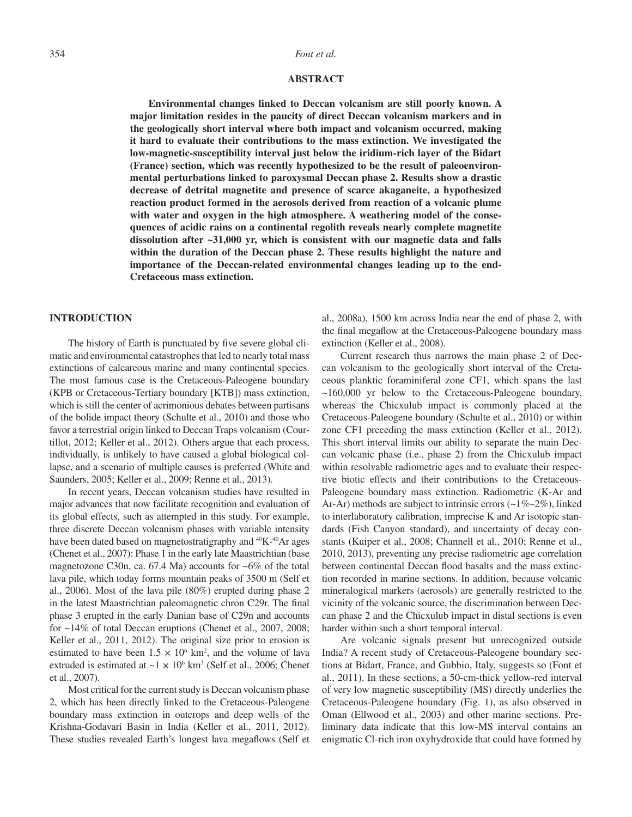#### 354 *Font et al.*

#### **ABSTRACT**

**Environmental changes linked to Deccan volcanism are still poorly known. A major limitation resides in the paucity of direct Deccan volcanism markers and in the geologically short interval where both impact and volcanism occurred, making it hard to evaluate their contributions to the mass extinction. We investigated the low-magnetic-susceptibility interval just below the iridium-rich layer of the Bidart (France) section, which was recently hypothesized to be the result of paleoenvironmental perturbations linked to paroxysmal Deccan phase 2. Results show a drastic decrease of detrital magnetite and presence of scarce akaganeite, a hypothesized reaction product formed in the aerosols derived from reaction of a volcanic plume with water and oxygen in the high atmosphere. A weathering model of the consequences of acidic rains on a continental regolith reveals nearly complete magnetite dissolution after ~31,000 yr, which is consistent with our magnetic data and falls within the duration of the Deccan phase 2. These results highlight the nature and importance of the Deccan-related environmental changes leading up to the end-Cretaceous mass extinction.**

#### **INTRODUCTION**

The history of Earth is punctuated by five severe global climatic and environmental catastrophes that led to nearly total mass extinctions of calcareous marine and many continental species. The most famous case is the Cretaceous-Paleogene boundary (KPB or Cretaceous-Tertiary boundary [KTB]) mass extinction, which is still the center of acrimonious debates between partisans of the bolide impact theory (Schulte et al., 2010) and those who favor a terrestrial origin linked to Deccan Traps volcanism (Courtillot, 2012; Keller et al., 2012). Others argue that each process, individually, is unlikely to have caused a global biological collapse, and a scenario of multiple causes is preferred (White and Saunders, 2005; Keller et al., 2009; Renne et al., 2013).

In recent years, Deccan volcanism studies have resulted in major advances that now facilitate recognition and evaluation of its global effects, such as attempted in this study. For example, three discrete Deccan volcanism phases with variable intensity have been dated based on magnetostratigraphy and <sup>40</sup>K-<sup>40</sup>Ar ages (Chenet et al., 2007): Phase 1 in the early late Maastrichtian (base magnetozone C30n, ca.  $67.4$  Ma) accounts for  $\sim 6\%$  of the total lava pile, which today forms mountain peaks of 3500 m (Self et al., 2006). Most of the lava pile (80%) erupted during phase 2 in the latest Maastrichtian paleomagnetic chron C29r. The final phase 3 erupted in the early Danian base of C29n and accounts for ~14% of total Deccan eruptions (Chenet et al., 2007, 2008; Keller et al., 2011, 2012). The original size prior to erosion is estimated to have been  $1.5 \times 10^6$  km<sup>2</sup>, and the volume of lava extruded is estimated at  $\sim$ 1  $\times$  10<sup>6</sup> km<sup>3</sup> (Self et al., 2006; Chenet et al., 2007).

Most critical for the current study is Deccan volcanism phase 2, which has been directly linked to the Cretaceous-Paleogene boundary mass extinction in outcrops and deep wells of the Krishna-Godavari Basin in India (Keller et al., 2011, 2012). These studies revealed Earth's longest lava megaflows (Self et

al., 2008a), 1500 km across India near the end of phase 2, with the final megaflow at the Cretaceous-Paleogene boundary mass extinction (Keller et al., 2008).

Current research thus narrows the main phase 2 of Deccan volcanism to the geologically short interval of the Cretaceous planktic foraminiferal zone CF1, which spans the last ~160,000 yr below to the Cretaceous-Paleogene boundary, whereas the Chicxulub impact is commonly placed at the Cretaceous- Paleogene boundary (Schulte et al., 2010) or within zone CF1 preceding the mass extinction (Keller et al., 2012). This short interval limits our ability to separate the main Deccan volcanic phase (i.e., phase 2) from the Chicxulub impact within resolvable radiometric ages and to evaluate their respective biotic effects and their contributions to the Cretaceous-Paleogene boundary mass extinction. Radiometric (K-Ar and Ar-Ar) methods are subject to intrinsic errors (~1%–2%), linked to interlaboratory calibration, imprecise K and Ar isotopic standards (Fish Canyon standard), and uncertainty of decay constants (Kuiper et al., 2008; Channell et al., 2010; Renne et al., 2010, 2013), preventing any precise radiometric age correlation between continental Deccan flood basalts and the mass extinction recorded in marine sections. In addition, because volcanic mineralogical markers (aerosols) are generally restricted to the vicinity of the volcanic source, the discrimination between Deccan phase 2 and the Chicxulub impact in distal sections is even harder within such a short temporal interval.

Are volcanic signals present but unrecognized outside India? A recent study of Cretaceous-Paleogene boundary sections at Bidart, France, and Gubbio, Italy, suggests so (Font et al., 2011). In these sections, a 50-cm-thick yellow-red interval of very low magnetic susceptibility (MS) directly underlies the Cretaceous-Paleogene boundary (Fig. 1), as also observed in Oman (Ellwood et al., 2003) and other marine sections. Preliminary data indicate that this low-MS interval contains an enigmatic Cl-rich iron oxyhydroxide that could have formed by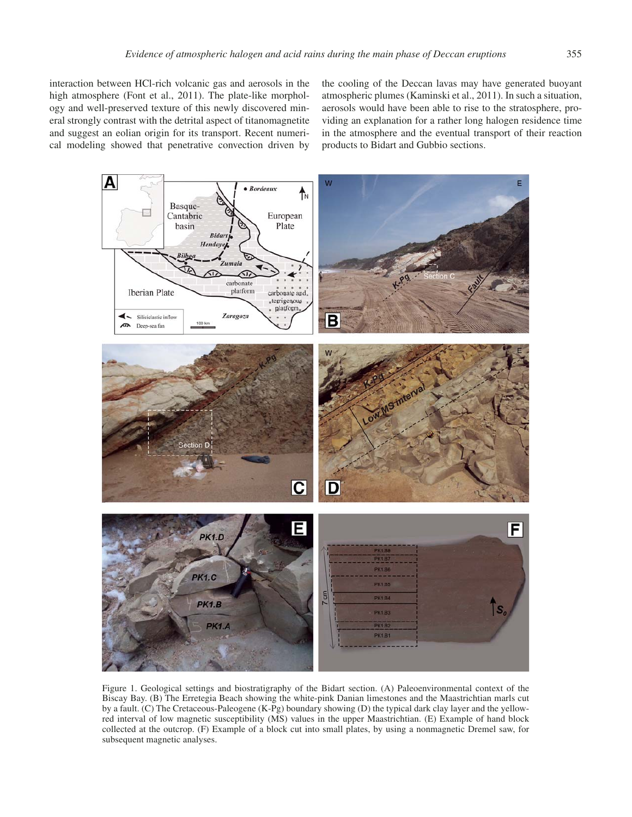cal modeling showed that penetrative convection driven by

the cooling of the Deccan lavas may have generated buoyant atmospheric plumes (Kaminski et al., 2011). In such a situation, aerosols would have been able to rise to the stratosphere, providing an explanation for a rather long halogen residence time in the atmosphere and the eventual transport of their reaction products to Bidart and Gubbio sections.



Figure 1. Geological settings and biostratigraphy of the Bidart section. (A) Paleoenvironmental context of the Biscay Bay. (B) The Erretegia Beach showing the white-pink Danian limestones and the Maastrichtian marls cut by a fault. (C) The Cretaceous-Paleogene (K-Pg) boundary showing (D) the typical dark clay layer and the yellowred interval of low magnetic susceptibility (MS) values in the upper Maastrichtian. (E) Example of hand block collected at the outcrop. (F) Example of a block cut into small plates, by using a nonmagnetic Dremel saw, for subsequent magnetic analyses.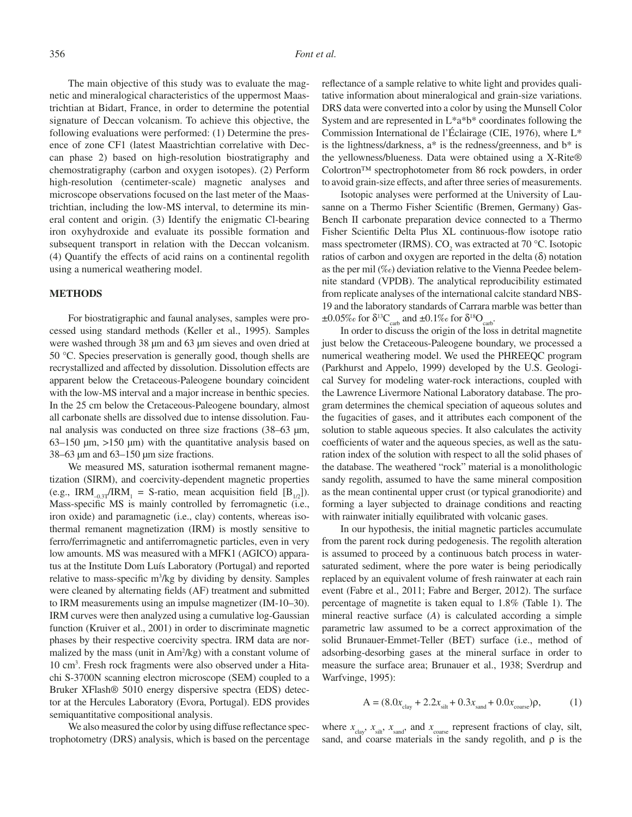The main objective of this study was to evaluate the magnetic and mineralogical characteristics of the uppermost Maastrichtian at Bidart, France, in order to determine the potential signature of Deccan volcanism. To achieve this objective, the following evaluations were performed: (1) Determine the presence of zone CF1 (latest Maastrichtian correlative with Deccan phase 2) based on high-resolution biostratigraphy and chemostratigraphy (carbon and oxygen isotopes). (2) Perform high-resolution (centimeter-scale) magnetic analyses and microscope observations focused on the last meter of the Maastrichtian, including the low-MS interval, to determine its mineral content and origin. (3) Identify the enigmatic Cl- bearing iron oxyhydroxide and evaluate its possible formation and subsequent transport in relation with the Deccan volcanism. (4) Quantify the effects of acid rains on a continental regolith using a numerical weathering model.

#### **METHODS**

For biostratigraphic and faunal analyses, samples were processed using standard methods (Keller et al., 1995). Samples were washed through 38  $\mu$ m and 63  $\mu$ m sieves and oven dried at 50 °C. Species preservation is generally good, though shells are recrystallized and affected by dissolution. Dissolution effects are apparent below the Cretaceous-Paleogene boundary coincident with the low-MS interval and a major increase in benthic species. In the 25 cm below the Cretaceous-Paleogene boundary, almost all carbonate shells are dissolved due to intense dissolution. Faunal analysis was conducted on three size fractions (38–63 µm, 63–150  $\mu$ m, >150  $\mu$ m) with the quantitative analysis based on 38–63 µm and 63–150 µm size fractions.

We measured MS, saturation isothermal remanent magnetization (SIRM), and coercivity-dependent magnetic properties (e.g., IRM<sub>-0.3T</sub>/IRM<sub>1</sub> = S-ratio, mean acquisition field  $[B_{1/2}]$ ). Mass-specific MS is mainly controlled by ferromagnetic (i.e., iron oxide) and paramagnetic (i.e., clay) contents, whereas isothermal remanent magnetization (IRM) is mostly sensitive to ferro/ferrimagnetic and antiferromagnetic particles, even in very low amounts. MS was measured with a MFK1 (AGICO) apparatus at the Institute Dom Luís Laboratory (Portugal) and reported relative to mass-specific  $m^3/kg$  by dividing by density. Samples were cleaned by alternating fields (AF) treatment and submitted to IRM measurements using an impulse magnetizer (IM-10–30). IRM curves were then analyzed using a cumulative log-Gaussian function (Kruiver et al., 2001) in order to discriminate magnetic phases by their respective coercivity spectra. IRM data are normalized by the mass (unit in Am<sup>2</sup>/kg) with a constant volume of 10 cm3 . Fresh rock fragments were also observed under a Hitachi S-3700N scanning electron microscope (SEM) coupled to a Bruker XFlash® 5010 energy dispersive spectra (EDS) detector at the Hercules Laboratory (Evora, Portugal). EDS provides semiquantitative compositional analysis.

We also measured the color by using diffuse reflectance spectrophotometry (DRS) analysis, which is based on the percentage reflectance of a sample relative to white light and provides qualitative information about mineralogical and grain-size variations. DRS data were converted into a color by using the Munsell Color System and are represented in L\*a\*b\* coordinates following the Commission International de l'Éclairage (CIE, 1976), where L\* is the lightness/darkness, a\* is the redness/greenness, and b\* is the yellowness/blueness. Data were obtained using a X-Rite® Colortron™ spectrophotometer from 86 rock powders, in order to avoid grain-size effects, and after three series of measurements.

Isotopic analyses were performed at the University of Lausanne on a Thermo Fisher Scientific (Bremen, Germany) Gas-Bench II carbonate preparation device connected to a Thermo Fisher Scientific Delta Plus XL continuous-flow isotope ratio mass spectrometer (IRMS).  $CO_2$  was extracted at 70 °C. Isotopic ratios of carbon and oxygen are reported in the delta  $(\delta)$  notation as the per mil (‰) deviation relative to the Vienna Peedee belemnite standard (VPDB). The analytical reproducibility estimated from replicate analyses of the international calcite standard NBS-19 and the laboratory standards of Carrara marble was better than  $\pm 0.05\%$  for  $\delta^{13}C_{\text{carb}}$  and  $\pm 0.1\%$  for  $\delta^{18}O_{\text{carb}}$ .

In order to discuss the origin of the loss in detrital magnetite just below the Cretaceous-Paleogene boundary, we processed a numerical weathering model. We used the PHREEQC program (Parkhurst and Appelo, 1999) developed by the U.S. Geological Survey for modeling water-rock interactions, coupled with the Lawrence Livermore National Laboratory database. The program determines the chemical speciation of aqueous solutes and the fugacities of gases, and it attributes each component of the solution to stable aqueous species. It also calculates the activity coefficients of water and the aqueous species, as well as the saturation index of the solution with respect to all the solid phases of the database. The weathered "rock" material is a monolithologic sandy regolith, assumed to have the same mineral composition as the mean continental upper crust (or typical granodiorite) and forming a layer subjected to drainage conditions and reacting with rainwater initially equilibrated with volcanic gases.

In our hypothesis, the initial magnetic particles accumulate from the parent rock during pedogenesis. The regolith alteration is assumed to proceed by a continuous batch process in watersaturated sediment, where the pore water is being periodically replaced by an equivalent volume of fresh rainwater at each rain event (Fabre et al., 2011; Fabre and Berger, 2012). The surface percentage of magnetite is taken equal to 1.8% (Table 1). The mineral reactive surface (*A*) is calculated according a simple parametric law assumed to be a correct approximation of the solid Brunauer-Emmet-Teller (BET) surface (i.e., method of adsorbing-desorbing gases at the mineral surface in order to measure the surface area; Brunauer et al., 1938; Sverdrup and Warfvinge, 1995):

$$
A = (8.0x_{\text{clay}} + 2.2x_{\text{silt}} + 0.3x_{\text{sand}} + 0.0x_{\text{coarse}})\rho, \tag{1}
$$

where  $x_{\text{clav}}$ ,  $x_{\text{silt}}$ ,  $x_{\text{sand}}$ , and  $x_{\text{coarse}}$  represent fractions of clay, silt, sand, and coarse materials in the sandy regolith, and  $\rho$  is the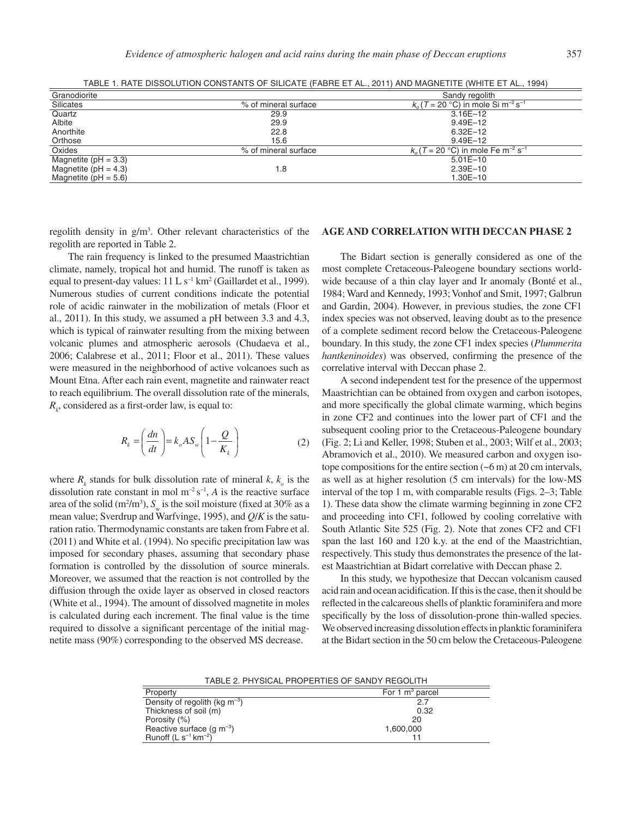| Granodiorite             |                      | Sandy regolith                                               |
|--------------------------|----------------------|--------------------------------------------------------------|
| Silicates                | % of mineral surface | $k_0$ (T = 20 °C) in mole Si m <sup>-2</sup> s <sup>-1</sup> |
| Quartz                   | 29.9                 | $3.16E - 12$                                                 |
| Albite                   | 29.9                 | $9.49E - 12$                                                 |
| Anorthite                | 22.8                 | $6.32E - 12$                                                 |
| Orthose                  | 15.6                 | $9.49E - 12$                                                 |
| Oxides                   | % of mineral surface | $k_0$ (T = 20 °C) in mole Fe m <sup>-2</sup> s <sup>-1</sup> |
| Magnetite ( $pH = 3.3$ ) |                      | $5.01E - 10$                                                 |
| Magnetite ( $pH = 4.3$ ) | 1.8                  | $2.39E - 10$                                                 |
| Magnetite $(pH = 5.6)$   |                      | 1.30E-10                                                     |

TABLE 1. RATE DISSOLUTION CONSTANTS OF SILICATE (FABRE ET AL., 2011) AND MAGNETITE (WHITE ET AL., 1994)

regolith density in  $g/m<sup>3</sup>$ . Other relevant characteristics of the regolith are reported in Table 2.

The rain frequency is linked to the presumed Maastrichtian climate, namely, tropical hot and humid. The runoff is taken as equal to present-day values:  $11 \, \text{L s}^{-1} \, \text{km}^2$  (Gaillardet et al., 1999). Numerous studies of current conditions indicate the potential role of acidic rainwater in the mobilization of metals (Floor et al., 2011). In this study, we assumed a pH between 3.3 and 4.3, which is typical of rainwater resulting from the mixing between volcanic plumes and atmospheric aerosols (Chudaeva et al., 2006; Calabrese et al., 2011; Floor et al., 2011). These values were measured in the neighborhood of active volcanoes such as Mount Etna. After each rain event, magnetite and rainwater react to reach equilibrium. The overall dissolution rate of the minerals,  $R_k$ , considered as a first-order law, is equal to:

$$
R_k = \left(\frac{dn}{dt}\right) = k_o A S_w \left(1 - \frac{Q}{K_k}\right) \tag{2}
$$

where  $R_k$  stands for bulk dissolution rate of mineral  $k, k_o$  is the dissolution rate constant in mol  $m^{-2} s^{-1}$ , *A* is the reactive surface area of the solid  $(m^2/m^3)$ ,  $S_w$  is the soil moisture (fixed at 30% as a mean value; Sverdrup and Warfvinge, 1995), and *Q*/*K* is the saturation ratio. Thermodynamic constants are taken from Fabre et al.  $(2011)$  and White et al.  $(1994)$ . No specific precipitation law was imposed for secondary phases, assuming that secondary phase formation is controlled by the dissolution of source minerals. Moreover, we assumed that the reaction is not controlled by the diffusion through the oxide layer as observed in closed reactors (White et al., 1994). The amount of dissolved magnetite in moles is calculated during each increment. The final value is the time required to dissolve a significant percentage of the initial magnetite mass (90%) corresponding to the observed MS decrease.

## **AGE AND CORRELATION WITH DECCAN PHASE 2**

The Bidart section is generally considered as one of the most complete Cretaceous-Paleogene boundary sections worldwide because of a thin clay layer and Ir anomaly (Bonté et al., 1984; Ward and Kennedy, 1993; Vonhof and Smit, 1997; Galbrun and Gardin, 2004). However, in previous studies, the zone CF1 index species was not observed, leaving doubt as to the presence of a complete sediment record below the Cretaceous-Paleogene boundary. In this study, the zone CF1 index species (*Plummerita hantkeninoides*) was observed, confirming the presence of the correlative interval with Deccan phase 2.

A second independent test for the presence of the uppermost Maastrichtian can be obtained from oxygen and carbon isotopes, and more specifically the global climate warming, which begins in zone CF2 and continues into the lower part of CF1 and the subsequent cooling prior to the Cretaceous-Paleogene boundary (Fig. 2; Li and Keller, 1998; Stuben et al., 2003; Wilf et al., 2003; Abramovich et al., 2010). We measured carbon and oxygen isotope compositions for the entire section  $(-6 \text{ m})$  at 20 cm intervals, as well as at higher resolution (5 cm intervals) for the low-MS interval of the top 1 m, with comparable results (Figs. 2–3; Table 1). These data show the climate warming beginning in zone CF2 and proceeding into CF1, followed by cooling correlative with South Atlantic Site 525 (Fig. 2). Note that zones CF2 and CF1 span the last 160 and 120 k.y. at the end of the Maastrichtian, respectively. This study thus demonstrates the presence of the latest Maastrichtian at Bidart correlative with Deccan phase 2.

In this study, we hypothesize that Deccan volcanism caused acid rain and ocean acidification. If this is the case, then it should be reflected in the calcareous shells of planktic foraminifera and more specifically by the loss of dissolution-prone thin-walled species. We observed increasing dissolution effects in planktic foraminifera at the Bidart section in the 50 cm below the Cretaceous-Paleogene

TABLE 2. PHYSICAL PROPERTIES OF SANDY REGOLITH

| Property                              | For 1 $m^3$ parcel |  |
|---------------------------------------|--------------------|--|
| Density of regolith (kg $m^{-3}$ )    | 2.7                |  |
| Thickness of soil (m)                 | 0.32               |  |
| Porosity (%)                          | 20                 |  |
| Reactive surface (g $\text{m}^{-3}$ ) | 1,600,000          |  |
| Runoff $(L s^{-1} km^{-2})$           |                    |  |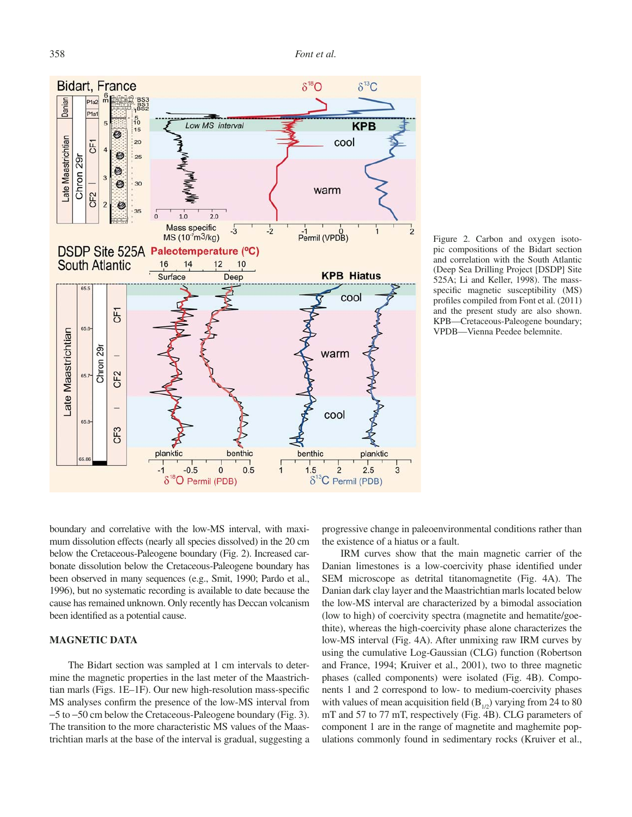

Figure 2. Carbon and oxygen isotopic compositions of the Bidart section and correlation with the South Atlantic (Deep Sea Drilling Project [DSDP] Site 525A; Li and Keller, 1998). The massspecific magnetic susceptibility (MS) profiles compiled from Font et al. (2011) and the present study are also shown. KPB—Cretaceous-Paleogene boundary; VPDB—Vienna Peedee belemnite.

boundary and correlative with the low-MS interval, with maximum dissolution effects (nearly all species dissolved) in the 20 cm below the Cretaceous-Paleogene boundary (Fig. 2). Increased carbonate dissolution below the Cretaceous-Paleogene boundary has been observed in many sequences (e.g., Smit, 1990; Pardo et al., 1996), but no systematic recording is available to date because the cause has remained unknown. Only recently has Deccan volcanism been identified as a potential cause.

## **MAGNETIC DATA**

The Bidart section was sampled at 1 cm intervals to determine the magnetic properties in the last meter of the Maastrichtian marls (Figs. 1E-1F). Our new high-resolution mass-specific MS analyses confirm the presence of the low-MS interval from −5 to −50 cm below the Cretaceous-Paleogene boundary (Fig. 3). The transition to the more characteristic MS values of the Maastrichtian marls at the base of the interval is gradual, suggesting a progressive change in paleoenvironmental conditions rather than the existence of a hiatus or a fault.

IRM curves show that the main magnetic carrier of the Danian limestones is a low-coercivity phase identified under SEM microscope as detrital titanomagnetite (Fig. 4A). The Danian dark clay layer and the Maastrichtian marls located below the low-MS interval are characterized by a bimodal association (low to high) of coercivity spectra (magnetite and hematite/goethite), whereas the high-coercivity phase alone characterizes the low-MS interval (Fig. 4A). After unmixing raw IRM curves by using the cumulative Log-Gaussian (CLG) function (Robertson and France, 1994; Kruiver et al., 2001), two to three magnetic phases (called components) were isolated (Fig. 4B). Components 1 and 2 correspond to low- to medium-coercivity phases with values of mean acquisition field  $(B_{1/2})$  varying from 24 to 80 mT and 57 to 77 mT, respectively (Fig. 4B). CLG parameters of component 1 are in the range of magnetite and maghemite populations commonly found in sedimentary rocks (Kruiver et al.,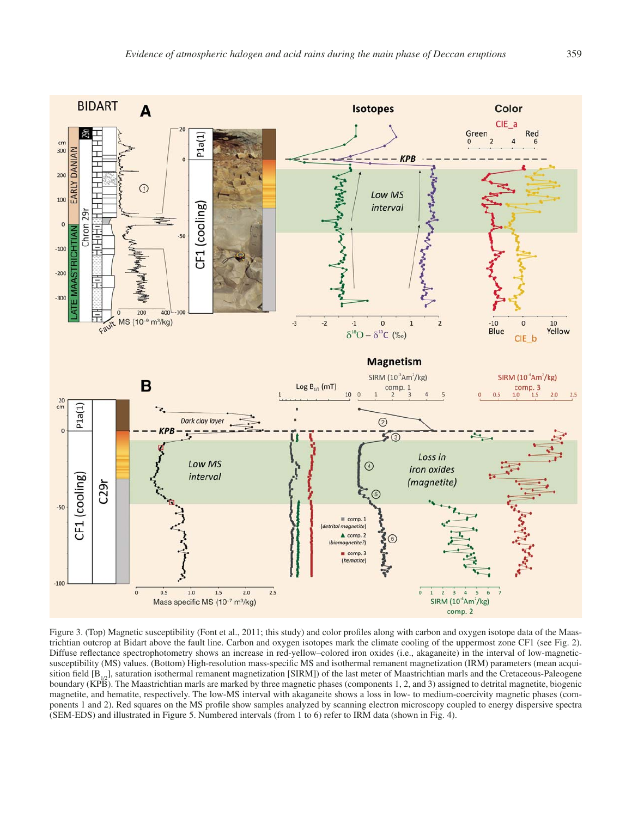

Figure 3. (Top) Magnetic susceptibility (Font et al., 2011; this study) and color profiles along with carbon and oxygen isotope data of the Maastrichtian outcrop at Bidart above the fault line. Carbon and oxygen isotopes mark the climate cooling of the uppermost zone CF1 (see Fig. 2). Diffuse reflectance spectrophotometry shows an increase in red-yellow–colored iron oxides (i.e., akaganeite) in the interval of low-magneticsusceptibility (MS) values. (Bottom) High-resolution mass-specific MS and isothermal remanent magnetization (IRM) parameters (mean acquisition field  $[B_{1/2}]$ , saturation isothermal remanent magnetization [SIRM]) of the last meter of Maastrichtian marls and the Cretaceous-Paleogene boundary (KPB). The Maastrichtian marls are marked by three magnetic phases (components 1, 2, and 3) assigned to detrital magnetite, biogenic magnetite, and hematite, respectively. The low-MS interval with akaganeite shows a loss in low- to medium-coercivity magnetic phases (components 1 and 2). Red squares on the MS profile show samples analyzed by scanning electron microscopy coupled to energy dispersive spectra (SEM-EDS) and illustrated in Figure 5. Numbered intervals (from 1 to 6) refer to IRM data (shown in Fig. 4).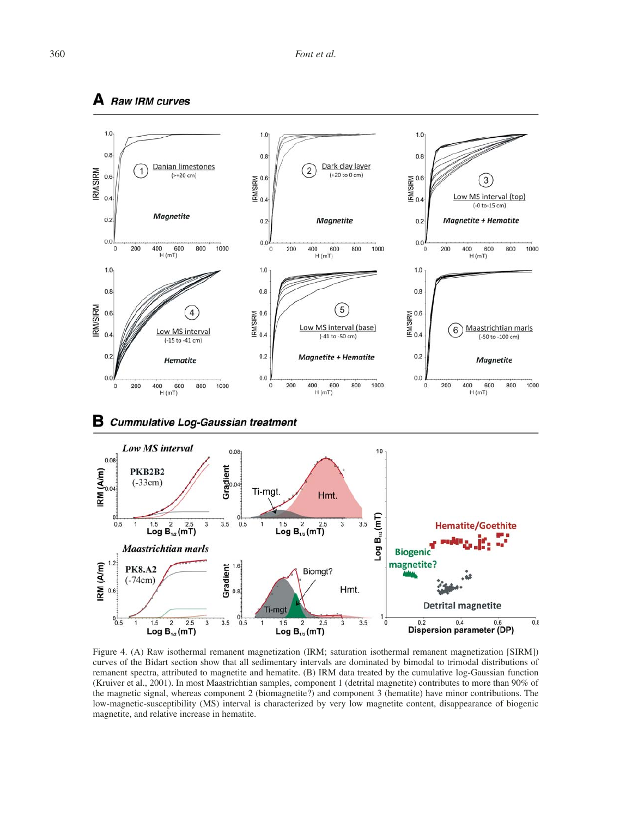



Figure 4. (A) Raw isothermal remanent magnetization (IRM; saturation isothermal remanent magnetization [SIRM]) curves of the Bidart section show that all sedimentary intervals are dominated by bimodal to trimodal distributions of remanent spectra, attributed to magnetite and hematite. (B) IRM data treated by the cumulative log-Gaussian function (Kruiver et al., 2001). In most Maastrichtian samples, component 1 (detrital magnetite) contributes to more than 90% of the magnetic signal, whereas component 2 (biomagnetite?) and component 3 (hematite) have minor contributions. The low-magnetic-susceptibility (MS) interval is characterized by very low magnetite content, disappearance of biogenic magnetite, and relative increase in hematite.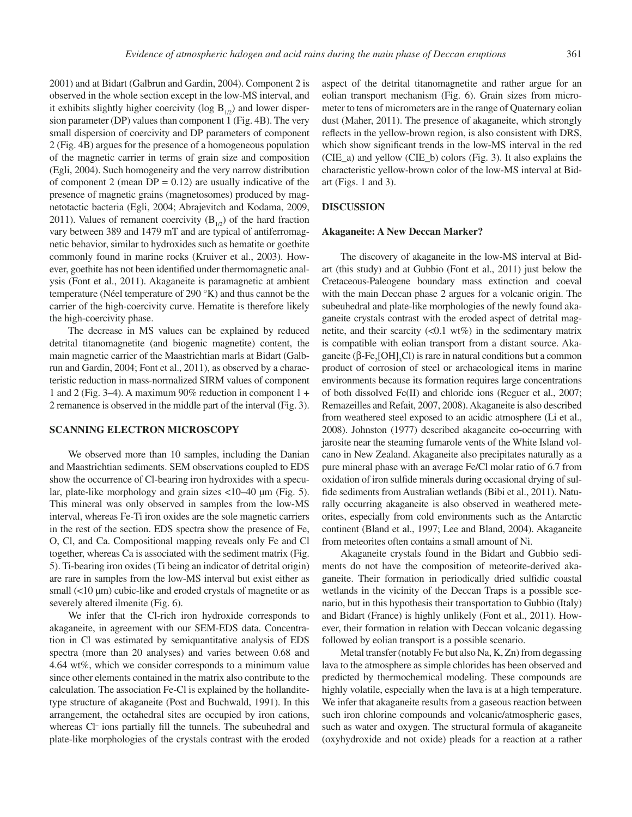2001) and at Bidart (Galbrun and Gardin, 2004). Component 2 is observed in the whole section except in the low-MS interval, and it exhibits slightly higher coercivity (log  $B_{1/2}$ ) and lower dispersion parameter (DP) values than component 1 (Fig. 4B). The very small dispersion of coercivity and DP parameters of component 2 (Fig. 4B) argues for the presence of a homogeneous population of the magnetic carrier in terms of grain size and composition (Egli, 2004). Such homogeneity and the very narrow distribution of component 2 (mean  $DP = 0.12$ ) are usually indicative of the presence of magnetic grains (magnetosomes) produced by magnetotactic bacteria (Egli, 2004; Abrajevitch and Kodama, 2009, 2011). Values of remanent coercivity  $(B_{1/2})$  of the hard fraction vary between 389 and 1479 mT and are typical of antiferromagnetic behavior, similar to hydroxides such as hematite or goethite commonly found in marine rocks (Kruiver et al., 2003). However, goethite has not been identified under thermomagnetic analysis (Font et al., 2011). Akaganeite is paramagnetic at ambient temperature (Néel temperature of 290 °K) and thus cannot be the carrier of the high-coercivity curve. Hematite is therefore likely the high-coercivity phase.

The decrease in MS values can be explained by reduced detrital titanomagnetite (and biogenic magnetite) content, the main magnetic carrier of the Maastrichtian marls at Bidart (Galbrun and Gardin, 2004; Font et al., 2011), as observed by a characteristic reduction in mass-normalized SIRM values of component 1 and 2 (Fig. 3–4). A maximum 90% reduction in component 1 + 2 remanence is observed in the middle part of the interval (Fig. 3).

#### **SCANNING ELECTRON MICROSCOPY**

We observed more than 10 samples, including the Danian and Maastrichtian sediments. SEM observations coupled to EDS show the occurrence of Cl-bearing iron hydroxides with a specular, plate-like morphology and grain sizes <10–40 µm (Fig. 5). This mineral was only observed in samples from the low-MS interval, whereas Fe-Ti iron oxides are the sole magnetic carriers in the rest of the section. EDS spectra show the presence of Fe, O, Cl, and Ca. Compositional mapping reveals only Fe and Cl together, whereas Ca is associated with the sediment matrix (Fig. 5). Ti-bearing iron oxides (Ti being an indicator of detrital origin) are rare in samples from the low-MS interval but exist either as small (<10 µm) cubic-like and eroded crystals of magnetite or as severely altered ilmenite (Fig. 6).

We infer that the Cl-rich iron hydroxide corresponds to akaganeite, in agreement with our SEM-EDS data. Concentration in Cl was estimated by semiquantitative analysis of EDS spectra (more than 20 analyses) and varies between 0.68 and 4.64 wt%, which we consider corresponds to a minimum value since other elements contained in the matrix also contribute to the calculation. The association Fe-Cl is explained by the hollanditetype structure of akaganeite (Post and Buchwald, 1991). In this arrangement, the octahedral sites are occupied by iron cations, whereas Cl<sup>-</sup> ions partially fill the tunnels. The subeuhedral and plate-like morphologies of the crystals contrast with the eroded

aspect of the detrital titanomagnetite and rather argue for an eolian transport mechanism (Fig. 6). Grain sizes from micrometer to tens of micrometers are in the range of Quaternary eolian dust (Maher, 2011). The presence of akaganeite, which strongly reflects in the yellow-brown region, is also consistent with DRS, which show significant trends in the low-MS interval in the red (CIE\_a) and yellow (CIE\_b) colors (Fig. 3). It also explains the characteristic yellow-brown color of the low-MS interval at Bidart (Figs. 1 and 3).

#### **DISCUSSION**

#### **Akaganeite: A New Deccan Marker?**

The discovery of akaganeite in the low-MS interval at Bidart (this study) and at Gubbio (Font et al., 2011) just below the Cretaceous-Paleogene boundary mass extinction and coeval with the main Deccan phase 2 argues for a volcanic origin. The subeuhedral and plate-like morphologies of the newly found akaganeite crystals contrast with the eroded aspect of detrital magnetite, and their scarcity  $(<0.1 \text{ wt\%})$  in the sedimentary matrix is compatible with eolian transport from a distant source. Akaganeite ( $\beta$ -Fe<sub>2</sub>[OH]<sub>3</sub>Cl) is rare in natural conditions but a common product of corrosion of steel or archaeological items in marine environments because its formation requires large concentrations of both dissolved Fe(II) and chloride ions (Reguer et al., 2007; Remazeilles and Refait, 2007, 2008). Akaganeite is also described from weathered steel exposed to an acidic atmosphere (Li et al., 2008). Johnston (1977) described akaganeite co-occurring with jarosite near the steaming fumarole vents of the White Island volcano in New Zealand. Akaganeite also precipitates naturally as a pure mineral phase with an average Fe/Cl molar ratio of 6.7 from oxidation of iron sulfide minerals during occasional drying of sulfide sediments from Australian wetlands (Bibi et al., 2011). Naturally occurring akaganeite is also observed in weathered meteorites, especially from cold environments such as the Antarctic continent (Bland et al., 1997; Lee and Bland, 2004). Akaganeite from meteorites often contains a small amount of Ni.

Akaganeite crystals found in the Bidart and Gubbio sediments do not have the composition of meteorite-derived akaganeite. Their formation in periodically dried sulfidic coastal wetlands in the vicinity of the Deccan Traps is a possible scenario, but in this hypothesis their transportation to Gubbio (Italy) and Bidart (France) is highly unlikely (Font et al., 2011). However, their formation in relation with Deccan volcanic degassing followed by eolian transport is a possible scenario.

Metal transfer (notably Fe but also Na, K, Zn) from degassing lava to the atmosphere as simple chlorides has been observed and predicted by thermochemical modeling. These compounds are highly volatile, especially when the lava is at a high temperature. We infer that akaganeite results from a gaseous reaction between such iron chlorine compounds and volcanic/atmospheric gases, such as water and oxygen. The structural formula of akaganeite (oxyhydroxide and not oxide) pleads for a reaction at a rather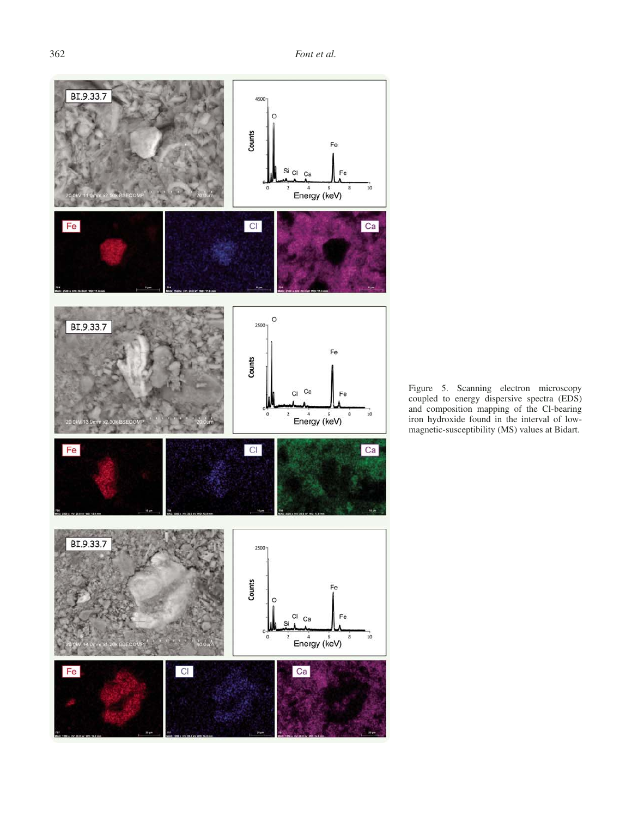

Figure 5. Scanning electron microscopy coupled to energy dispersive spectra (EDS) and composition mapping of the Cl-bearing iron hydroxide found in the interval of lowmagnetic-susceptibility (MS) values at Bidart.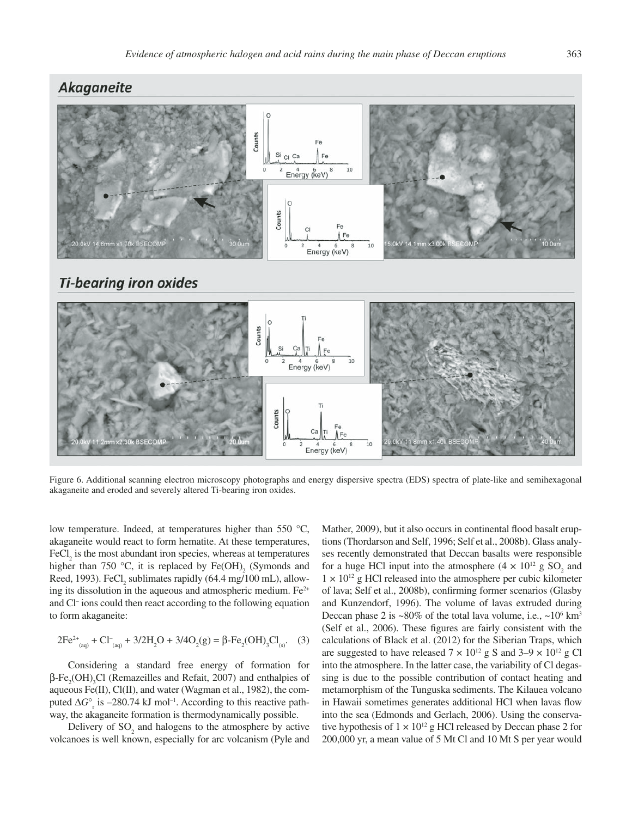

Figure 6. Additional scanning electron microscopy photographs and energy dispersive spectra (EDS) spectra of plate-like and semihexagonal akaganeite and eroded and severely altered Ti-bearing iron oxides.

low temperature. Indeed, at temperatures higher than 550 °C, akaganeite would react to form hematite. At these temperatures,  $\text{FeCl}_2$  is the most abundant iron species, whereas at temperatures higher than 750 °C, it is replaced by  $Fe(OH)$ <sub>2</sub> (Symonds and Reed, 1993).  $FeCl<sub>2</sub>$  sublimates rapidly (64.4 mg/100 mL), allowing its dissolution in the aqueous and atmospheric medium.  $Fe<sup>2+</sup>$ and Cl– ions could then react according to the following equation to form akaganeite:

$$
2Fe^{2+}_{(aq)} + Cl_{(aq)} + 3/2H_2O + 3/4O_2(g) = \beta - Fe_2(OH)_3Cl_{(s)}.
$$
 (3)

Considering a standard free energy of formation for  $\beta$ -Fe<sub>2</sub>(OH)<sub>3</sub>Cl (Remazeilles and Refait, 2007) and enthalpies of aqueous Fe(II), Cl(II), and water (Wagman et al., 1982), the computed  $\Delta G^{\circ}$ <sub>r</sub> is –280.74 kJ mol<sup>-1</sup>. According to this reactive pathway, the akaganeite formation is thermodynamically possible.

Delivery of  $SO_2$  and halogens to the atmosphere by active volcanoes is well known, especially for arc volcanism (Pyle and

Mather, 2009), but it also occurs in continental flood basalt eruptions (Thordarson and Self, 1996; Self et al., 2008b). Glass analyses recently demonstrated that Deccan basalts were responsible for a huge HCl input into the atmosphere  $(4 \times 10^{12} \text{ g SO}_2)$  and  $1 \times 10^{12}$  g HCl released into the atmosphere per cubic kilometer of lava; Self et al., 2008b), confirming former scenarios (Glasby and Kunzendorf, 1996). The volume of lavas extruded during Deccan phase 2 is  $\sim80\%$  of the total lava volume, i.e.,  $\sim10^6$  km<sup>3</sup> (Self et al., 2006). These figures are fairly consistent with the calculations of Black et al. (2012) for the Siberian Traps, which are suggested to have released  $7 \times 10^{12}$  g S and  $3-9 \times 10^{12}$  g Cl into the atmosphere. In the latter case, the variability of Cl degassing is due to the possible contribution of contact heating and metamorphism of the Tunguska sediments. The Kilauea volcano in Hawaii sometimes generates additional HCl when lavas flow into the sea (Edmonds and Gerlach, 2006). Using the conservative hypothesis of  $1 \times 10^{12}$  g HCl released by Deccan phase 2 for 200,000 yr, a mean value of 5 Mt Cl and 10 Mt S per year would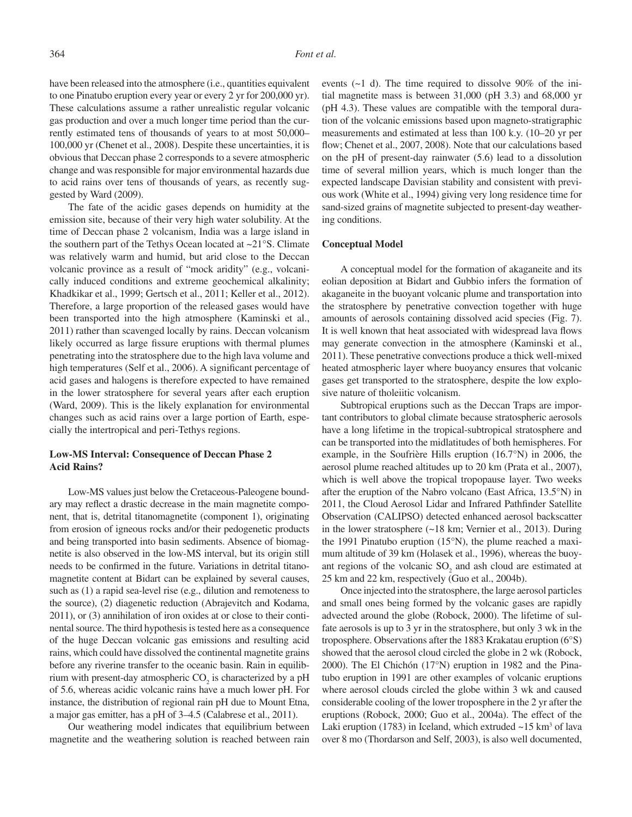have been released into the atmosphere (i.e., quantities equivalent to one Pinatubo eruption every year or every 2 yr for 200,000 yr). These calculations assume a rather unrealistic regular volcanic gas production and over a much longer time period than the currently estimated tens of thousands of years to at most 50,000– 100,000 yr (Chenet et al., 2008). Despite these uncertainties, it is obvious that Deccan phase 2 corresponds to a severe atmospheric change and was responsible for major environmental hazards due to acid rains over tens of thousands of years, as recently suggested by Ward (2009).

The fate of the acidic gases depends on humidity at the emission site, because of their very high water solubility. At the time of Deccan phase 2 volcanism, India was a large island in the southern part of the Tethys Ocean located at ~21°S. Climate was relatively warm and humid, but arid close to the Deccan volcanic province as a result of "mock aridity" (e.g., volcanically induced conditions and extreme geochemical alkalinity; Khadkikar et al., 1999; Gertsch et al., 2011; Keller et al., 2012). Therefore, a large proportion of the released gases would have been transported into the high atmosphere (Kaminski et al., 2011) rather than scavenged locally by rains. Deccan volcanism likely occurred as large fissure eruptions with thermal plumes penetrating into the stratosphere due to the high lava volume and high temperatures (Self et al., 2006). A significant percentage of acid gases and halogens is therefore expected to have remained in the lower stratosphere for several years after each eruption (Ward, 2009). This is the likely explanation for environmental changes such as acid rains over a large portion of Earth, especially the intertropical and peri-Tethys regions.

## **Low-MS Interval: Consequence of Deccan Phase 2 Acid Rains?**

Low-MS values just below the Cretaceous-Paleogene boundary may reflect a drastic decrease in the main magnetite component, that is, detrital titanomagnetite (component 1), originating from erosion of igneous rocks and/or their pedogenetic products and being transported into basin sediments. Absence of biomagnetite is also observed in the low-MS interval, but its origin still needs to be confirmed in the future. Variations in detrital titanomagnetite content at Bidart can be explained by several causes, such as (1) a rapid sea-level rise (e.g., dilution and remoteness to the source), (2) diagenetic reduction (Abrajevitch and Kodama, 2011), or (3) annihilation of iron oxides at or close to their continental source. The third hypothesis is tested here as a consequence of the huge Deccan volcanic gas emissions and resulting acid rains, which could have dissolved the continental magnetite grains before any riverine transfer to the oceanic basin. Rain in equilibrium with present-day atmospheric  $CO_2$  is characterized by a pH of 5.6, whereas acidic volcanic rains have a much lower pH. For instance, the distribution of regional rain pH due to Mount Etna, a major gas emitter, has a pH of 3–4.5 (Calabrese et al., 2011).

Our weathering model indicates that equilibrium between magnetite and the weathering solution is reached between rain events (~1 d). The time required to dissolve 90% of the initial magnetite mass is between 31,000 (pH 3.3) and 68,000 yr (pH 4.3). These values are compatible with the temporal duration of the volcanic emissions based upon magneto-stratigraphic measurements and estimated at less than 100 k.y. (10–20 yr per flow; Chenet et al., 2007, 2008). Note that our calculations based on the pH of present-day rainwater (5.6) lead to a dissolution time of several million years, which is much longer than the expected landscape Davisian stability and consistent with previous work (White et al., 1994) giving very long residence time for sand-sized grains of magnetite subjected to present-day weathering conditions.

#### **Conceptual Model**

A conceptual model for the formation of akaganeite and its eolian deposition at Bidart and Gubbio infers the formation of akaganeite in the buoyant volcanic plume and transportation into the stratosphere by penetrative convection together with huge amounts of aerosols containing dissolved acid species (Fig. 7). It is well known that heat associated with widespread lava flows may generate convection in the atmosphere (Kaminski et al., 2011). These penetrative convections produce a thick well-mixed heated atmospheric layer where buoyancy ensures that volcanic gases get transported to the stratosphere, despite the low explosive nature of tholeiitic volcanism.

Subtropical eruptions such as the Deccan Traps are important contributors to global climate because stratospheric aerosols have a long lifetime in the tropical-subtropical stratosphere and can be transported into the midlatitudes of both hemispheres. For example, in the Soufrière Hills eruption (16.7°N) in 2006, the aerosol plume reached altitudes up to 20 km (Prata et al., 2007), which is well above the tropical tropopause layer. Two weeks after the eruption of the Nabro volcano (East Africa, 13.5°N) in 2011, the Cloud Aerosol Lidar and Infrared Pathfinder Satellite Observation (CALIPSO) detected enhanced aerosol backscatter in the lower stratosphere (~18 km; Vernier et al., 2013). During the 1991 Pinatubo eruption (15°N), the plume reached a maximum altitude of 39 km (Holasek et al., 1996), whereas the buoyant regions of the volcanic  $SO_2$  and ash cloud are estimated at 25 km and 22 km, respectively (Guo et al., 2004b).

Once injected into the stratosphere, the large aerosol particles and small ones being formed by the volcanic gases are rapidly advected around the globe (Robock, 2000). The lifetime of sulfate aerosols is up to 3 yr in the stratosphere, but only 3 wk in the troposphere. Observations after the 1883 Krakatau eruption (6°S) showed that the aerosol cloud circled the globe in 2 wk (Robock, 2000). The El Chichón (17°N) eruption in 1982 and the Pinatubo eruption in 1991 are other examples of volcanic eruptions where aerosol clouds circled the globe within 3 wk and caused considerable cooling of the lower troposphere in the 2 yr after the eruptions (Robock, 2000; Guo et al., 2004a). The effect of the Laki eruption (1783) in Iceland, which extruded  $\sim$  15 km<sup>3</sup> of lava over 8 mo (Thordarson and Self, 2003), is also well documented,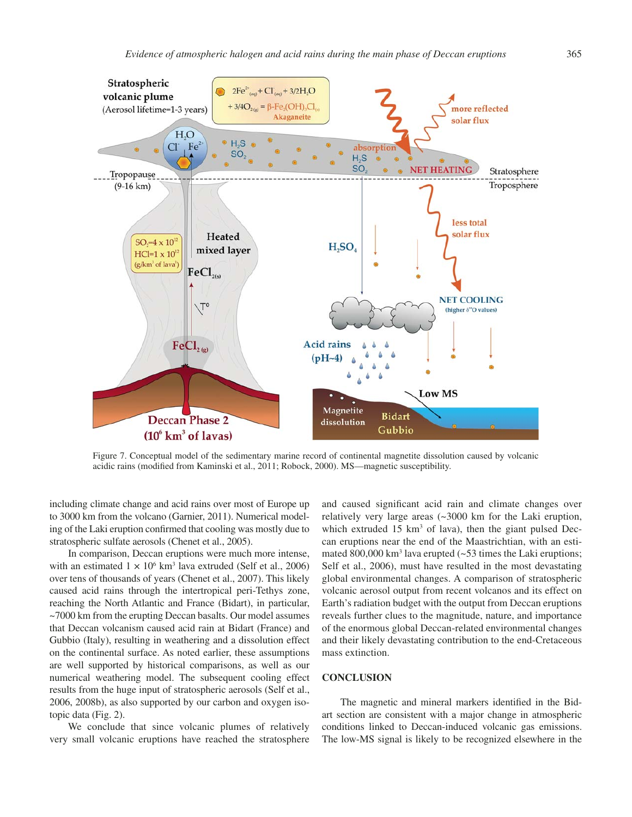

Figure 7. Conceptual model of the sedimentary marine record of continental magnetite dissolution caused by volcanic acidic rains (modified from Kaminski et al., 2011; Robock, 2000). MS—magnetic susceptibility.

including climate change and acid rains over most of Europe up to 3000 km from the volcano (Garnier, 2011). Numerical modeling of the Laki eruption confirmed that cooling was mostly due to stratospheric sulfate aerosols (Chenet et al., 2005).

In comparison, Deccan eruptions were much more intense, with an estimated  $1 \times 10^6$  km<sup>3</sup> lava extruded (Self et al., 2006) over tens of thousands of years (Chenet et al., 2007). This likely caused acid rains through the intertropical peri-Tethys zone, reaching the North Atlantic and France (Bidart), in particular, ~7000 km from the erupting Deccan basalts. Our model assumes that Deccan volcanism caused acid rain at Bidart (France) and Gubbio (Italy), resulting in weathering and a dissolution effect on the continental surface. As noted earlier, these assumptions are well supported by historical comparisons, as well as our numerical weathering model. The subsequent cooling effect results from the huge input of stratospheric aerosols (Self et al., 2006, 2008b), as also supported by our carbon and oxygen isotopic data (Fig. 2).

We conclude that since volcanic plumes of relatively very small volcanic eruptions have reached the stratosphere and caused significant acid rain and climate changes over relatively very large areas (~3000 km for the Laki eruption, which extruded  $15 \text{ km}^3$  of lava), then the giant pulsed Deccan eruptions near the end of the Maastrichtian, with an estimated 800,000 km<sup>3</sup> lava erupted  $(\sim 53)$  times the Laki eruptions; Self et al., 2006), must have resulted in the most devastating global environmental changes. A comparison of stratospheric volcanic aerosol output from recent volcanos and its effect on Earth's radiation budget with the output from Deccan eruptions reveals further clues to the magnitude, nature, and importance of the enormous global Deccan-related environmental changes and their likely devastating contribution to the end-Cretaceous mass extinction.

#### **CONCLUSION**

The magnetic and mineral markers identified in the Bidart section are consistent with a major change in atmospheric conditions linked to Deccan-induced volcanic gas emissions. The low-MS signal is likely to be recognized elsewhere in the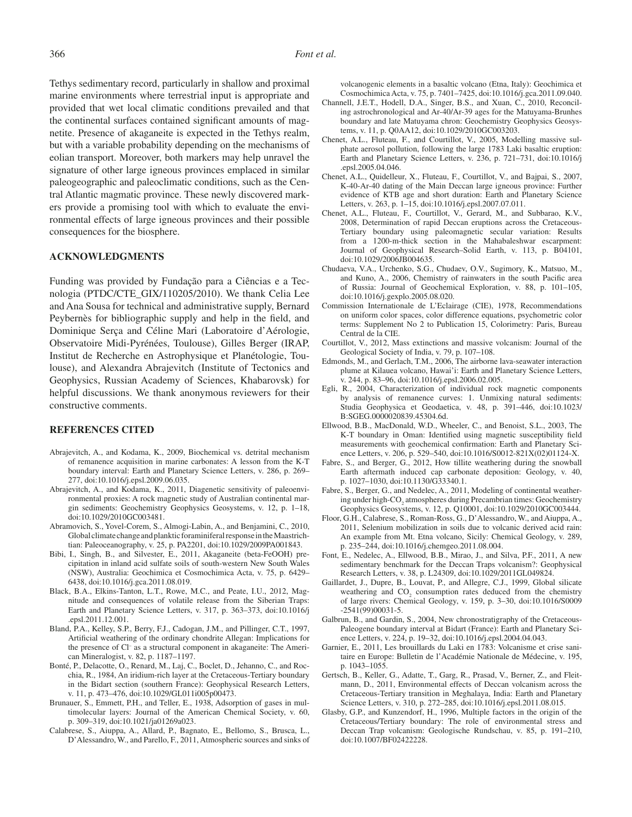Tethys sedimentary record, particularly in shallow and proximal marine environments where terrestrial input is appropriate and provided that wet local climatic conditions prevailed and that the continental surfaces contained significant amounts of magnetite. Presence of akaganeite is expected in the Tethys realm, but with a variable probability depending on the mechanisms of eolian transport. Moreover, both markers may help unravel the signature of other large igneous provinces emplaced in similar paleogeographic and paleoclimatic conditions, such as the Central Atlantic magmatic province. These newly discovered markers provide a promising tool with which to evaluate the environmental effects of large igneous provinces and their possible consequences for the biosphere.

### **ACKNOWLEDGMENTS**

Funding was provided by Fundação para a Ciências e a Tecnologia (PTDC/CTE\_GIX/110205/2010). We thank Celia Lee and Ana Sousa for technical and administrative supply, Bernard Peybernès for bibliographic supply and help in the field, and Dominique Serça and Céline Mari (Laboratoire d'Aérologie, Observatoire Midi- Pyrénées, Toulouse), Gilles Berger (IRAP, Institut de Recherche en Astrophysique et Planétologie, Toulouse), and Alexandra Abrajevitch (Institute of Tectonics and Geophysics, Russian Academy of Sciences, Khabarovsk) for helpful discussions. We thank anonymous reviewers for their constructive comments.

#### **REFERENCES CITED**

- Abrajevitch, A., and Kodama, K., 2009, Biochemical vs. detrital mechanism of remanence acquisition in marine carbonates: A lesson from the K-T boundary interval: Earth and Planetary Science Letters, v. 286, p. 269– 277, doi:10.1016/j.epsl.2009.06.035.
- Abrajevitch, A., and Kodama, K., 2011, Diagenetic sensitivity of paleoenvironmental proxies: A rock magnetic study of Australian continental margin sediments: Geochemistry Geophysics Geosystems, v. 12, p. 1–18, doi:10.1029/2010GC003481.
- Abramovich, S., Yovel-Corem, S., Almogi-Labin, A., and Benjamini, C., 2010, Global climate change and planktic foraminiferal response in the Maastrichtian: Paleoceanography, v. 25, p. PA2201, doi:10.1029/2009PA001843.
- Bibi, I., Singh, B., and Silvester, E., 2011, Akaganeite (beta-FeOOH) precipitation in inland acid sulfate soils of south-western New South Wales (NSW), Australia: Geochimica et Cosmochimica Acta, v. 75, p. 6429– 6438, doi:10.1016/j.gca.2011.08.019.
- Black, B.A., Elkins-Tanton, L.T., Rowe, M.C., and Peate, I.U., 2012, Magnitude and consequences of volatile release from the Siberian Traps: Earth and Planetary Science Letters, v. 317, p. 363–373, doi:10.1016/j .epsl.2011.12.001.
- Bland, P.A., Kelley, S.P., Berry, F.J., Cadogan, J.M., and Pillinger, C.T., 1997, Artificial weathering of the ordinary chondrite Allegan: Implications for the presence of Cl– as a structural component in akaganeite: The American Mineralogist, v. 82, p. 1187–1197.
- Bonté, P., Delacotte, O., Renard, M., Laj, C., Boclet, D., Jehanno, C., and Rocchia, R., 1984, An iridium-rich layer at the Cretaceous-Tertiary boundary in the Bidart section (southern France): Geophysical Research Letters, v. 11, p. 473–476, doi:10.1029/GL011i005p00473.
- Brunauer, S., Emmett, P.H., and Teller, E., 1938, Adsorption of gases in multimolecular layers: Journal of the American Chemical Society, v. 60, p. 309–319, doi:10.1021/ja01269a023.
- Calabrese, S., Aiuppa, A., Allard, P., Bagnato, E., Bellomo, S., Brusca, L., D'Alessandro, W., and Parello, F., 2011, Atmospheric sources and sinks of

volcanogenic elements in a basaltic volcano (Etna, Italy): Geochimica et Cosmochimica Acta, v. 75, p. 7401–7425, doi:10.1016/j.gca.2011.09.040.

- Channell, J.E.T., Hodell, D.A., Singer, B.S., and Xuan, C., 2010, Reconciling astrochronological and Ar-40/Ar-39 ages for the Matuyama-Brunhes boundary and late Matuyama chron: Geochemistry Geophysics Geosystems, v. 11, p. Q0AA12, doi:10.1029/2010GC003203.
- Chenet, A.L., Fluteau, F., and Courtillot, V., 2005, Modelling massive sulphate aerosol pollution, following the large 1783 Laki basaltic eruption: Earth and Planetary Science Letters, v. 236, p. 721–731, doi:10.1016/j .epsl.2005.04.046.
- Chenet, A.L., Quidelleur, X., Fluteau, F., Courtillot, V., and Bajpai, S., 2007, K-40-Ar-40 dating of the Main Deccan large igneous province: Further evidence of KTB age and short duration: Earth and Planetary Science Letters, v. 263, p. 1–15, doi:10.1016/j.epsl.2007.07.011.
- Chenet, A.L., Fluteau, F., Courtillot, V., Gerard, M., and Subbarao, K.V., 2008, Determination of rapid Deccan eruptions across the Cretaceous-Tertiary boundary using paleomagnetic secular variation: Results from a 1200-m-thick section in the Mahabaleshwar escarpment: Journal of Geophysical Research–Solid Earth, v. 113, p. B04101, doi:10.1029/2006JB004635.
- Chudaeva, V.A., Urchenko, S.G., Chudaev, O.V., Sugimory, K., Matsuo, M., and Kuno, A., 2006, Chemistry of rainwaters in the south Pacific area of Russia: Journal of Geochemical Exploration, v. 88, p. 101–105, doi:10.1016/j.gexplo.2005.08.020.
- Commission Internationale de L'Eclairage (CIE), 1978, Recommendations on uniform color spaces, color difference equations, psychometric color terms: Supplement No 2 to Publication 15, Colorimetry: Paris, Bureau Central de la CIE.
- Courtillot, V., 2012, Mass extinctions and massive volcanism: Journal of the Geological Society of India, v. 79, p. 107–108.
- Edmonds, M., and Gerlach, T.M., 2006, The airborne lava-seawater interaction plume at Kilauea volcano, Hawai'i: Earth and Planetary Science Letters, v. 244, p. 83–96, doi:10.1016/j.epsl.2006.02.005.
- Egli, R., 2004, Characterization of individual rock magnetic components by analysis of remanence curves: 1. Unmixing natural sediments: Studia Geophysica et Geodaetica, v. 48, p. 391–446, doi:10.1023/ B:SGEG.0000020839.45304.6d.
- Ellwood, B.B., MacDonald, W.D., Wheeler, C., and Benoist, S.L., 2003, The K-T boundary in Oman: Identified using magnetic susceptibility field measurements with geochemical confirmation: Earth and Planetary Science Letters, v. 206, p. 529–540, doi:10.1016/S0012-821X(02)01124-X.
- Fabre, S., and Berger, G., 2012, How tillite weathering during the snowball Earth aftermath induced cap carbonate deposition: Geology, v. 40, p. 1027–1030, doi:10.1130/G33340.1.
- Fabre, S., Berger, G., and Nedelec, A., 2011, Modeling of continental weathering under high- $\mathrm{CO}_2$  atmospheres during Precambrian times: Geochemistry Geophysics Geosystems, v. 12, p. Q10001, doi:10.1029/2010GC003444.
- Floor, G.H., Calabrese, S., Roman-Ross, G., D'Alessandro, W., and Aiuppa, A., 2011, Selenium mobilization in soils due to volcanic derived acid rain: An example from Mt. Etna volcano, Sicily: Chemical Geology, v. 289, p. 235–244, doi:10.1016/j.chemgeo.2011.08.004.
- Font, E., Nedelec, A., Ellwood, B.B., Mirao, J., and Silva, P.F., 2011, A new sedimentary benchmark for the Deccan Traps volcanism?: Geophysical Research Letters, v. 38, p. L24309, doi:10.1029/2011GL049824.
- Gaillardet, J., Dupre, B., Louvat, P., and Allegre, C.J., 1999, Global silicate weathering and  $CO<sub>2</sub>$  consumption rates deduced from the chemistry of large rivers: Chemical Geology, v. 159, p. 3–30, doi:10.1016/S0009 -2541(99)00031-5.
- Galbrun, B., and Gardin, S., 2004, New chronostratigraphy of the Cretaceous-Paleogene boundary interval at Bidart (France): Earth and Planetary Science Letters, v. 224, p. 19–32, doi:10.1016/j.epsl.2004.04.043.
- Garnier, E., 2011, Les brouillards du Laki en 1783: Volcanisme et crise sanitaire en Europe: Bulletin de l'Académie Nationale de Médecine, v. 195, p. 1043–1055.
- Gertsch, B., Keller, G., Adatte, T., Garg, R., Prasad, V., Berner, Z., and Fleitmann, D., 2011, Environmental effects of Deccan volcanism across the Cretaceous-Tertiary transition in Meghalaya, India: Earth and Planetary Science Letters, v. 310, p. 272–285, doi:10.1016/j.epsl.2011.08.015.
- Glasby, G.P., and Kunzendorf, H., 1996, Multiple factors in the origin of the Cretaceous/Tertiary boundary: The role of environmental stress and Deccan Trap volcanism: Geologische Rundschau, v. 85, p. 191–210, doi:10.1007/BF02422228.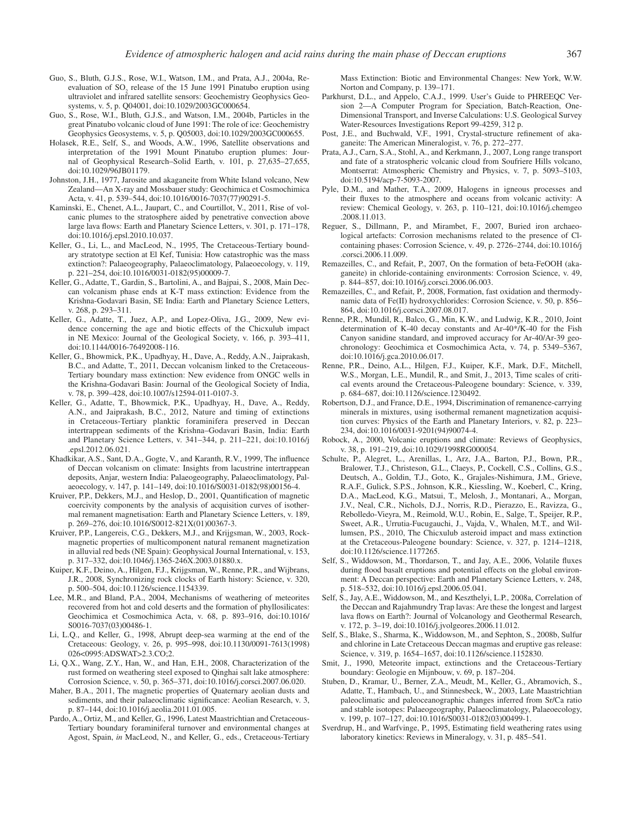- Guo, S., Bluth, G.J.S., Rose, W.I., Watson, I.M., and Prata, A.J., 2004a, Reevaluation of  $SO_2$  release of the 15 June 1991 Pinatubo eruption using ultraviolet and infrared satellite sensors: Geochemistry Geophysics Geosystems, v. 5, p. Q04001, doi:10.1029/2003GC000654.
- Guo, S., Rose, W.I., Bluth, G.J.S., and Watson, I.M., 2004b, Particles in the great Pinatubo volcanic cloud of June 1991: The role of ice: Geochemistry Geophysics Geosystems, v. 5, p. Q05003, doi:10.1029/2003GC000655.
- Holasek, R.E., Self, S., and Woods, A.W., 1996, Satellite observations and interpretation of the 1991 Mount Pinatubo eruption plumes: Journal of Geophysical Research–Solid Earth, v. 101, p. 27,635–27,655, doi:10.1029/96JB01179.
- Johnston, J.H., 1977, Jarosite and akaganeite from White Island volcano, New Zealand—An X-ray and Mossbauer study: Geochimica et Cosmochimica Acta, v. 41, p. 539–544, doi:10.1016/0016-7037(77)90291-5.
- Kaminski, E., Chenet, A.L., Jaupart, C., and Courtillot, V., 2011, Rise of volcanic plumes to the stratosphere aided by penetrative convection above large lava flows: Earth and Planetary Science Letters, v. 301, p. 171–178, doi:10.1016/j.epsl.2010.10.037.
- Keller, G., Li, L., and MacLeod, N., 1995, The Cretaceous-Tertiary boundary stratotype section at El Kef, Tunisia: How catastrophic was the mass extinction?: Palaeogeography, Palaeoclimatology, Palaeoecology, v. 119, p. 221–254, doi:10.1016/0031-0182(95)00009-7.
- Keller, G., Adatte, T., Gardin, S., Bartolini, A., and Bajpai, S., 2008, Main Deccan volcanism phase ends at K-T mass extinction: Evidence from the Krishna-Godavari Basin, SE India: Earth and Planetary Science Letters, v. 268, p. 293–311.
- Keller, G., Adatte, T., Juez, A.P., and Lopez-Oliva, J.G., 2009, New evidence concerning the age and biotic effects of the Chicxulub impact in NE Mexico: Journal of the Geological Society, v. 166, p. 393–411, doi:10.1144/0016-76492008-116.
- Keller, G., Bhowmick, P.K., Upadhyay, H., Dave, A., Reddy, A.N., Jaiprakash, B.C., and Adatte, T., 2011, Deccan volcanism linked to the Cretaceous-Tertiary boundary mass extinction: New evidence from ONGC wells in the Krishna-Godavari Basin: Journal of the Geological Society of India, v. 78, p. 399–428, doi:10.1007/s12594-011-0107-3.
- Keller, G., Adatte, T., Bhowmick, P.K., Upadhyay, H., Dave, A., Reddy, A.N., and Jaiprakash, B.C., 2012, Nature and timing of extinctions in Cretaceous-Tertiary planktic foraminifera preserved in Deccan intertrappean sediments of the Krishna–Godavari Basin, India: Earth and Planetary Science Letters, v. 341–344, p. 211–221, doi:10.1016/j .epsl.2012.06.021.
- Khadkikar, A.S., Sant, D.A., Gogte, V., and Karanth, R.V., 1999, The influence of Deccan volcanism on climate: Insights from lacustrine intertrappean deposits, Anjar, western India: Palaeogeography, Palaeoclimatology, Palaeoecology, v. 147, p. 141–149, doi:10.1016/S0031-0182(98)00156-4.
- Kruiver, P.P., Dekkers, M.J., and Heslop, D., 2001, Quantification of magnetic coercivity components by the analysis of acquisition curves of isothermal remanent magnetisation: Earth and Planetary Science Letters, v. 189, p. 269–276, doi:10.1016/S0012-821X(01)00367-3.
- Kruiver, P.P., Langereis, C.G., Dekkers, M.J., and Krijgsman, W., 2003, Rockmagnetic properties of multicomponent natural remanent magnetization in alluvial red beds (NE Spain): Geophysical Journal International, v. 153, p. 317–332, doi:10.1046/j.1365-246X.2003.01880.x.
- Kuiper, K.F., Deino, A., Hilgen, F.J., Krijgsman, W., Renne, P.R., and Wijbrans, J.R., 2008, Synchronizing rock clocks of Earth history: Science, v. 320, p. 500–504, doi:10.1126/science.1154339.
- Lee, M.R., and Bland, P.A., 2004, Mechanisms of weathering of meteorites recovered from hot and cold deserts and the formation of phyllosilicates: Geochimica et Cosmochimica Acta, v. 68, p. 893–916, doi:10.1016/ S0016-7037(03)00486-1.
- Li, L.Q., and Keller, G., 1998, Abrupt deep-sea warming at the end of the Cretaceous: Geology, v. 26, p. 995–998, doi:10.1130/0091-7613(1998) 026<0995:ADSWAT>2.3.CO;2.
- Li, Q.X., Wang, Z.Y., Han, W., and Han, E.H., 2008, Characterization of the rust formed on weathering steel exposed to Qinghai salt lake atmosphere: Corrosion Science, v. 50, p. 365–371, doi:10.1016/j.corsci.2007.06.020.
- Maher, B.A., 2011, The magnetic properties of Quaternary aeolian dusts and sediments, and their palaeoclimatic significance: Aeolian Research, v. 3, p. 87–144, doi:10.1016/j.aeolia.2011.01.005.
- Pardo, A., Ortiz, M., and Keller, G., 1996, Latest Maastrichtian and Cretaceous-Tertiary boundary foraminiferal turnover and environmental changes at Agost, Spain, *in* MacLeod, N., and Keller, G., eds., Cretaceous-Tertiary

Mass Extinction: Biotic and Environmental Changes: New York, W.W. Norton and Company, p. 139–171.

- Parkhurst, D.L., and Appelo, C.A.J., 1999. User's Guide to PHREEQC Version 2—A Computer Program for Speciation, Batch-Reaction, One-Dimensional Transport, and Inverse Calculations: U.S. Geological Survey Water-Resources Investigations Report 99-4259, 312 p.
- Post, J.E., and Buchwald, V.F., 1991, Crystal-structure refinement of akaganeite: The American Mineralogist, v. 76, p. 272–277.
- Prata, A.J., Carn, S.A., Stohl, A., and Kerkmann, J., 2007, Long range transport and fate of a stratospheric volcanic cloud from Soufriere Hills volcano, Montserrat: Atmospheric Chemistry and Physics, v. 7, p. 5093–5103, doi:10.5194/acp-7-5093-2007.
- Pyle, D.M., and Mather, T.A., 2009, Halogens in igneous processes and their fluxes to the atmosphere and oceans from volcanic activity: A review: Chemical Geology, v. 263, p. 110–121, doi:10.1016/j.chemgeo .2008.11.013.
- Reguer, S., Dillmann, P., and Mirambet, F., 2007, Buried iron archaeological artefacts: Corrosion mechanisms related to the presence of Clcontaining phases: Corrosion Science, v. 49, p. 2726–2744, doi:10.1016/j .corsci.2006.11.009.
- Remazeilles, C., and Refait, P., 2007, On the formation of beta-FeOOH (akaganeite) in chloride-containing environments: Corrosion Science, v. 49, p. 844–857, doi:10.1016/j.corsci.2006.06.003.
- Remazeilles, C., and Refait, P., 2008, Formation, fast oxidation and thermodynamic data of Fe(II) hydroxychlorides: Corrosion Science, v. 50, p. 856– 864, doi:10.1016/j.corsci.2007.08.017.
- Renne, P.R., Mundil, R., Balco, G., Min, K.W., and Ludwig, K.R., 2010, Joint determination of K-40 decay constants and Ar-40\*/K-40 for the Fish Canyon sanidine standard, and improved accuracy for Ar-40/Ar-39 geochronology: Geochimica et Cosmochimica Acta, v. 74, p. 5349–5367, doi:10.1016/j.gca.2010.06.017.
- Renne, P.R., Deino, A.L., Hilgen, F.J., Kuiper, K.F., Mark, D.F., Mitchell, W.S., Morgan, L.E., Mundil, R., and Smit, J., 2013, Time scales of critical events around the Cretaceous-Paleogene boundary: Science, v. 339, p. 684–687, doi:10.1126/science.1230492.
- Robertson, D.J., and France, D.E., 1994, Discrimination of remanence-carrying minerals in mixtures, using isothermal remanent magnetization acquisition curves: Physics of the Earth and Planetary Interiors, v. 82, p. 223– 234, doi:10.1016/0031-9201(94)90074-4.
- Robock, A., 2000, Volcanic eruptions and climate: Reviews of Geophysics, v. 38, p. 191–219, doi:10.1029/1998RG000054.
- Schulte, P., Alegret, L., Arenillas, I., Arz, J.A., Barton, P.J., Bown, P.R., Bralower, T.J., Christeson, G.L., Claeys, P., Cockell, C.S., Collins, G.S., Deutsch, A., Goldin, T.J., Goto, K., Grajales-Nishimura, J.M., Grieve, R.A.F., Gulick, S.P.S., Johnson, K.R., Kiessling, W., Koeberl, C., Kring, D.A., MacLeod, K.G., Matsui, T., Melosh, J., Montanari, A., Morgan, J.V., Neal, C.R., Nichols, D.J., Norris, R.D., Pierazzo, E., Ravizza, G., Rebolledo-Vieyra, M., Reimold, W.U., Robin, E., Salge, T., Speijer, R.P., Sweet, A.R., Urrutia-Fucugauchi, J., Vajda, V., Whalen, M.T., and Willumsen, P.S., 2010, The Chicxulub asteroid impact and mass extinction at the Cretaceous-Paleogene boundary: Science, v. 327, p. 1214–1218, doi:10.1126/science.1177265.
- Self, S., Widdowson, M., Thordarson, T., and Jay, A.E., 2006, Volatile fluxes during flood basalt eruptions and potential effects on the global environment: A Deccan perspective: Earth and Planetary Science Letters, v. 248, p. 518–532, doi:10.1016/j.epsl.2006.05.041.
- Self, S., Jay, A.E., Widdowson, M., and Keszthelyi, L.P., 2008a, Correlation of the Deccan and Rajahmundry Trap lavas: Are these the longest and largest lava flows on Earth?: Journal of Volcanology and Geothermal Research, v. 172, p. 3–19, doi:10.1016/j.jvolgeores.2006.11.012.
- Self, S., Blake, S., Sharma, K., Widdowson, M., and Sephton, S., 2008b, Sulfur and chlorine in Late Cretaceous Deccan magmas and eruptive gas release: Science, v. 319, p. 1654–1657, doi:10.1126/science.1152830.
- Smit, J., 1990, Meteorite impact, extinctions and the Cretaceous-Tertiary boundary: Geologie en Mijnbouw, v. 69, p. 187–204.
- Stuben, D., Kramar, U., Berner, Z.A., Meudt, M., Keller, G., Abramovich, S., Adatte, T., Hambach, U., and Stinnesbeck, W., 2003, Late Maastrichtian paleoclimatic and paleoceanographic changes inferred from Sr/Ca ratio and stable isotopes: Palaeogeography, Palaeoclimatology, Palaeoecology, v. 199, p. 107–127, doi:10.1016/S0031-0182(03)00499-1.
- Sverdrup, H., and Warfvinge, P., 1995, Estimating field weathering rates using laboratory kinetics: Reviews in Mineralogy, v. 31, p. 485–541.